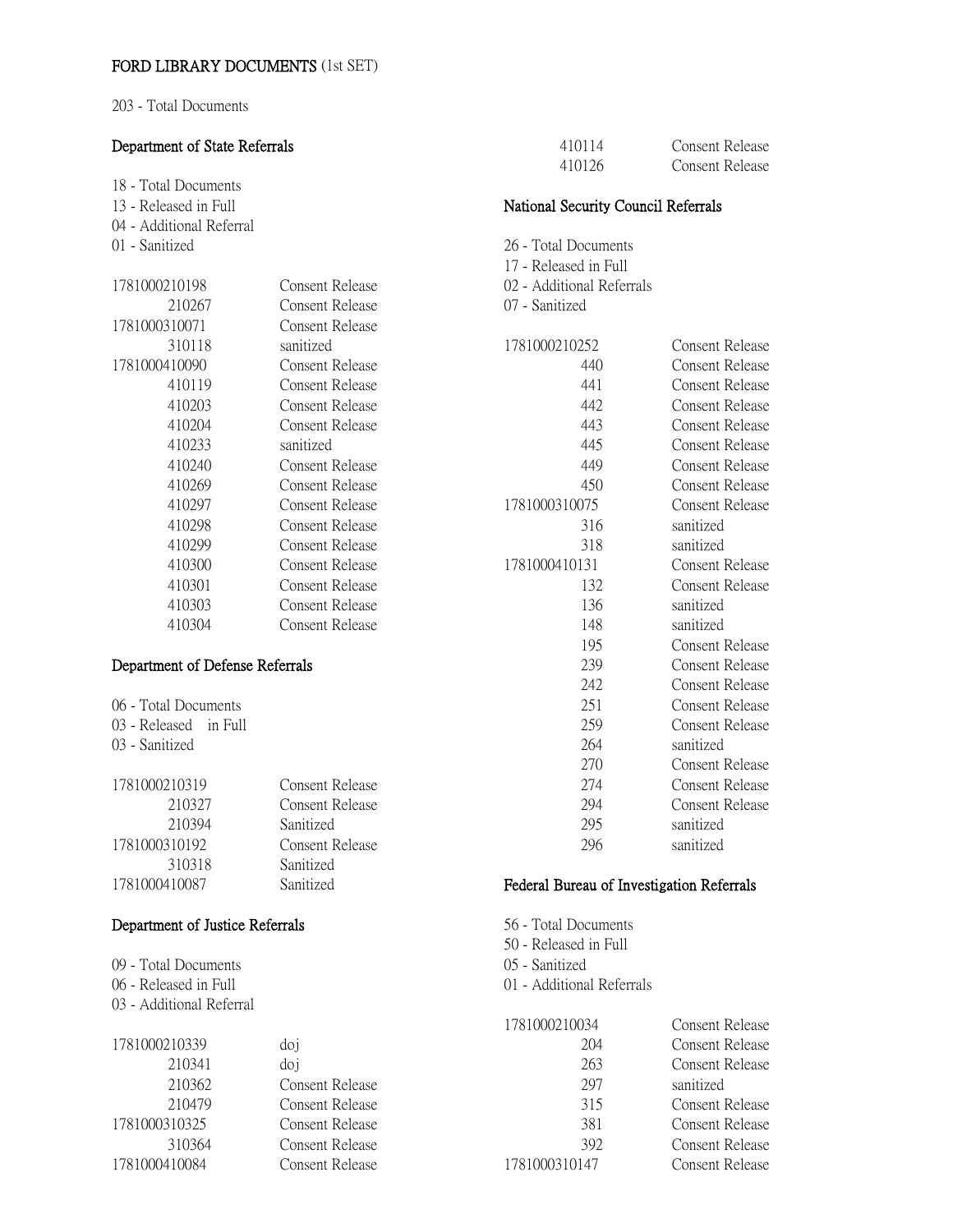203 - Total Documents

#### Department of State Referrals 18 - Total Documents 13 - Released in Full 04 - Additional Referral 01 - Sanitized Consent Release Consent Release sanitized Consent Release Consent Release Consent Release sanitized Consent Release Consent Release National Security Council Referrals 26 - Total Documents 17 - Released in Full 02 - Additional Referrals 07 - Sanitized Consent Release Consent Release Consent Release Consent Release Consent Release

| 00310071 | Consent Release        |
|----------|------------------------|
| 310118   | sanitized              |
| 00410090 | Consent Release        |
| 410119   | Consent Release        |
| 410203   | <b>Consent Release</b> |
| 410204   | Consent Release        |
| 410233   | sanitized              |
| 410240   | Consent Release        |
| 410269   | Consent Release        |
| 410297   | Consent Release        |
| 410298   | Consent Release        |
| 410299   | Consent Release        |
| 410300   | Consent Release        |
| 410301   | <b>Consent Release</b> |
| 410303   | Consent Release        |
| 410304   | Consent Release        |

**Consent Release Consent Release** Sanitized Consent Release Sanitized Sanitized

#### Department of Defense Referrals

| 06 - Total Documents  |  |
|-----------------------|--|
| 03 - Released in Full |  |

03 - Sanitized

| 1781000210319 |  |
|---------------|--|
| 210327        |  |
| 210394        |  |
| 1781000310192 |  |
| 310318        |  |
| 1781000410087 |  |

# Department of Justice Referrals

| 09 - Total Documents     |
|--------------------------|
| 06 - Released in Full    |
| 03 - Additional Referral |

| 1781000210339 | doj             |
|---------------|-----------------|
| 210341        | doj             |
| 210362        | Consent Release |
| 210479        | Consent Release |
| 1781000310325 | Consent Release |
| 310364        | Consent Release |
| 1781000410084 | Consent Release |

| 1781000210252 | Consent Release        |
|---------------|------------------------|
| 440           | <b>Consent Release</b> |
| 441           | <b>Consent Release</b> |
| 442           | Consent Release        |
| 443           | Consent Release        |
| 445           | <b>Consent Release</b> |
| 449           | <b>Consent Release</b> |
| 450           | Consent Release        |
| 1781000310075 | Consent Release        |
| 316           | sanitized              |
| 318           | sanitized              |
| 1781000410131 | <b>Consent Release</b> |
| 132           | <b>Consent Release</b> |
| 136           | sanitized              |
| 148           | sanitized              |
| 195           | Consent Release        |
| 239           | Consent Release        |
| 242           | Consent Release        |
| 251           | Consent Release        |
| 259           | Consent Release        |
| 264           | sanitized              |
| 270           | Consent Release        |
| 274           | Consent Release        |
| 294           | Consent Release        |
| 295           | sanitized              |
| 296           | sanitized              |

### Federal Bureau of Investigation Referrals

56 - Total Documents 50 - Released in Full 05 - Sanitized

01 - Additional Referrals

| 1781000210034 | <b>Consent Release</b> |
|---------------|------------------------|
| 204           | Consent Release        |
| 263           | Consent Release        |
| 297           | sanitized              |
| 315           | Consent Release        |
| 381           | Consent Release        |
| 392           | <b>Consent Release</b> |
| 1781000310147 | Consent Release        |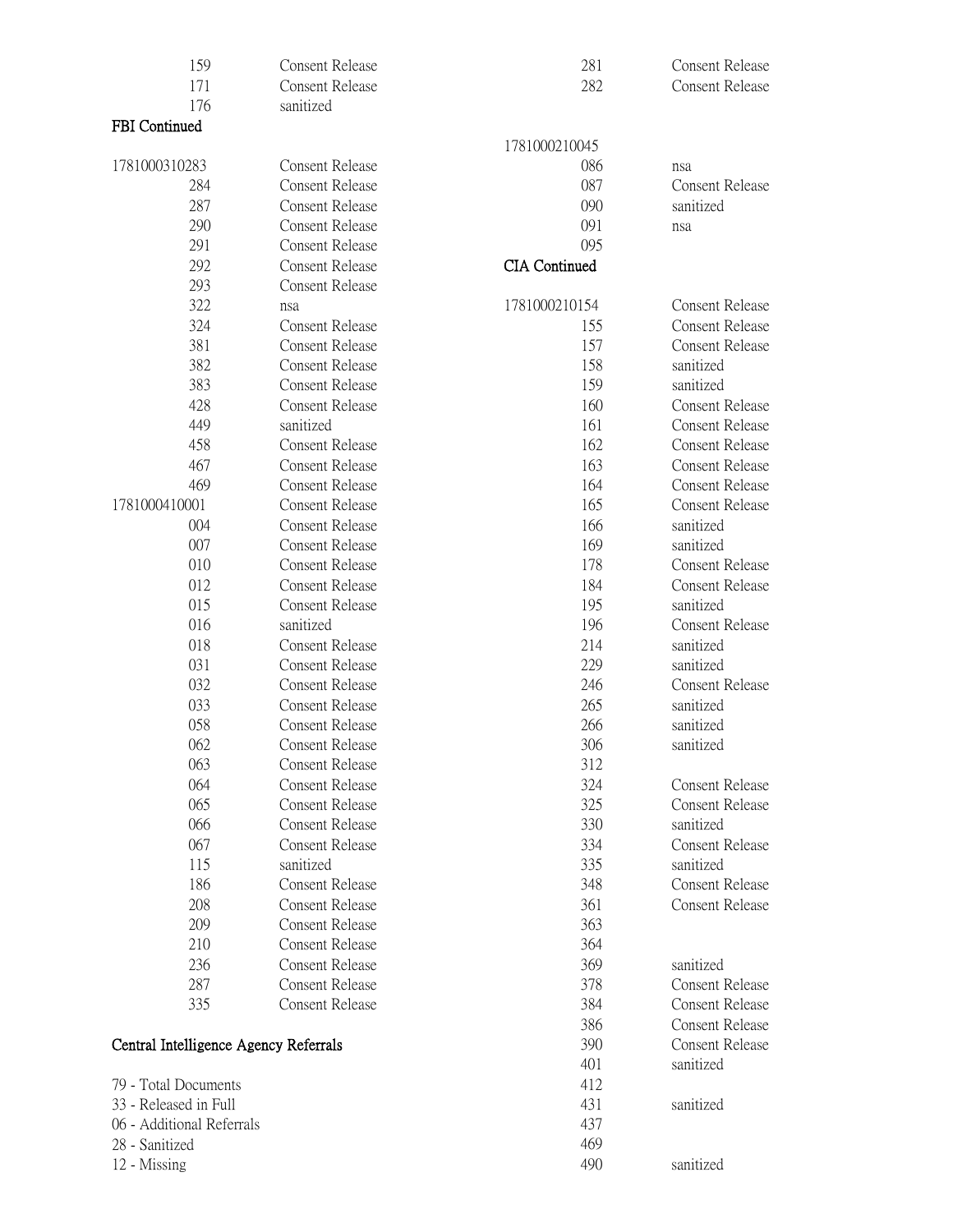| 159<br>171                            | Consent Release<br><b>Consent Release</b> | 281<br>282           | <b>Consent Release</b><br><b>Consent Release</b> |
|---------------------------------------|-------------------------------------------|----------------------|--------------------------------------------------|
| 176                                   | sanitized                                 |                      |                                                  |
| <b>FBI</b> Continued                  |                                           |                      |                                                  |
|                                       |                                           | 1781000210045        |                                                  |
| 1781000310283                         | <b>Consent Release</b>                    | 086                  | nsa                                              |
| 284                                   | <b>Consent Release</b>                    | 087                  | Consent Release                                  |
| 287                                   | <b>Consent Release</b>                    | 090                  | sanitized                                        |
| 290                                   | <b>Consent Release</b>                    | 091                  | nsa                                              |
| 291                                   | <b>Consent Release</b>                    | 095                  |                                                  |
| 292                                   | <b>Consent Release</b>                    | <b>CIA</b> Continued |                                                  |
| 293                                   | <b>Consent Release</b>                    |                      |                                                  |
| 322                                   | nsa                                       | 1781000210154        | Consent Release                                  |
| 324                                   | Consent Release                           | 155                  | <b>Consent Release</b>                           |
| 381                                   | Consent Release                           | 157                  | Consent Release                                  |
| 382                                   | <b>Consent Release</b>                    | 158                  | sanitized                                        |
| 383                                   | <b>Consent Release</b>                    | 159                  | sanitized                                        |
| 428                                   | <b>Consent Release</b>                    | 160                  | <b>Consent Release</b>                           |
| 449                                   | sanitized                                 | 161                  | <b>Consent Release</b>                           |
| 458                                   | <b>Consent Release</b>                    | 162                  | <b>Consent Release</b>                           |
| 467                                   | <b>Consent Release</b>                    | 163                  | <b>Consent Release</b>                           |
| 469                                   | Consent Release                           | 164                  | <b>Consent Release</b>                           |
| 1781000410001                         | <b>Consent Release</b>                    | 165                  | <b>Consent Release</b>                           |
| 004                                   | Consent Release                           | 166                  | sanitized                                        |
| 007                                   | <b>Consent Release</b>                    | 169                  | sanitized                                        |
| 010                                   | <b>Consent Release</b>                    | 178                  | Consent Release                                  |
| 012                                   | <b>Consent Release</b>                    | 184                  | <b>Consent Release</b>                           |
| 015                                   | <b>Consent Release</b>                    | 195                  | sanitized                                        |
| 016                                   | sanitized                                 | 196                  | Consent Release                                  |
| 018                                   | <b>Consent Release</b>                    | 214                  | sanitized                                        |
| 031                                   | <b>Consent Release</b>                    | 229                  | sanitized                                        |
| 032                                   | <b>Consent Release</b>                    | 246                  | <b>Consent Release</b>                           |
| 033                                   | <b>Consent Release</b>                    | 265                  | sanitized                                        |
| 058                                   | <b>Consent Release</b>                    | 266                  | sanitized                                        |
| 062                                   | <b>Consent Release</b>                    | 306                  | sanitized                                        |
| 063                                   | Consent Release                           | 312                  |                                                  |
| 064                                   | <b>Consent Release</b>                    | 324                  | Consent Release                                  |
| 065                                   | <b>Consent Release</b>                    | 325                  | <b>Consent Release</b>                           |
| 066                                   | <b>Consent Release</b>                    | 330                  | sanitized                                        |
| 067                                   | Consent Release                           | 334                  | Consent Release                                  |
| 115                                   | sanitized                                 | 335                  | sanitized                                        |
| 186                                   | <b>Consent Release</b>                    | 348                  | <b>Consent Release</b>                           |
| 208                                   | <b>Consent Release</b>                    | 361                  | <b>Consent Release</b>                           |
| 209                                   | <b>Consent Release</b>                    | 363                  |                                                  |
| 210                                   | <b>Consent Release</b>                    | 364                  |                                                  |
| 236                                   | <b>Consent Release</b>                    | 369                  | sanitized                                        |
| 287                                   | <b>Consent Release</b>                    | 378                  | Consent Release                                  |
| 335                                   | <b>Consent Release</b>                    | 384                  | <b>Consent Release</b>                           |
|                                       |                                           | 386                  | Consent Release                                  |
| Central Intelligence Agency Referrals |                                           | 390                  | Consent Release                                  |
|                                       |                                           | 401                  | sanitized                                        |
| 79 - Total Documents                  |                                           | 412                  |                                                  |
| 33 - Released in Full                 |                                           | 431                  | sanitized                                        |
| 06 - Additional Referrals             |                                           | 437                  |                                                  |
| 28 - Sanitized                        |                                           | 469                  |                                                  |
| 12 - Missing                          |                                           | 490                  | sanitized                                        |
|                                       |                                           |                      |                                                  |